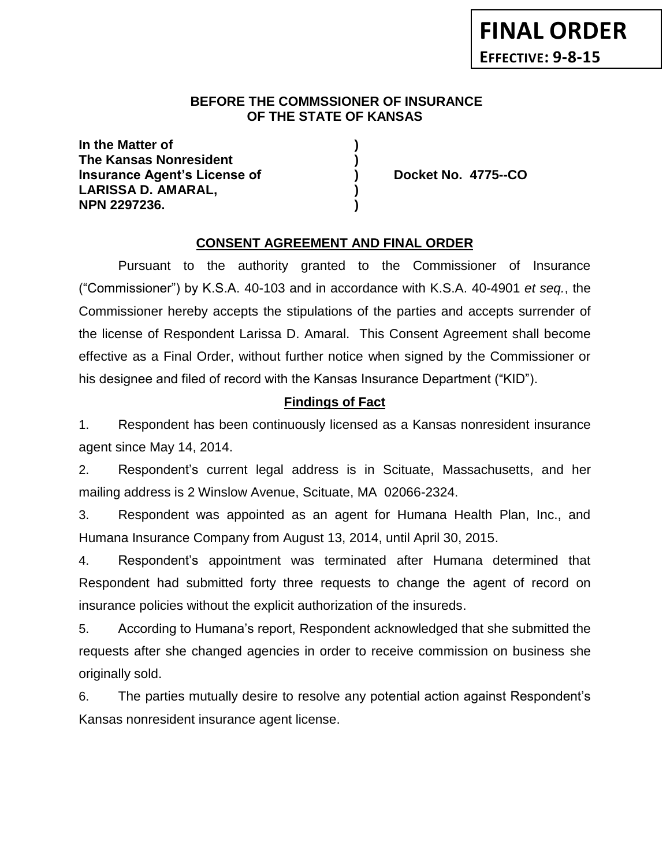### **BEFORE THE COMMSSIONER OF INSURANCE OF THE STATE OF KANSAS**

**In the Matter of ) The Kansas Nonresident ) Insurance Agent's License of ) Docket No. 4775--CO LARISSA D. AMARAL, ) NPN 2297236. )**

## **CONSENT AGREEMENT AND FINAL ORDER**

Pursuant to the authority granted to the Commissioner of Insurance ("Commissioner") by K.S.A. 40-103 and in accordance with K.S.A. 40-4901 *et seq.*, the Commissioner hereby accepts the stipulations of the parties and accepts surrender of the license of Respondent Larissa D. Amaral. This Consent Agreement shall become effective as a Final Order, without further notice when signed by the Commissioner or his designee and filed of record with the Kansas Insurance Department ("KID").

## **Findings of Fact**

1. Respondent has been continuously licensed as a Kansas nonresident insurance agent since May 14, 2014.

2. Respondent's current legal address is in Scituate, Massachusetts, and her mailing address is 2 Winslow Avenue, Scituate, MA 02066-2324.

3. Respondent was appointed as an agent for Humana Health Plan, Inc., and Humana Insurance Company from August 13, 2014, until April 30, 2015.

4. Respondent's appointment was terminated after Humana determined that Respondent had submitted forty three requests to change the agent of record on insurance policies without the explicit authorization of the insureds.

5. According to Humana's report, Respondent acknowledged that she submitted the requests after she changed agencies in order to receive commission on business she originally sold.

6. The parties mutually desire to resolve any potential action against Respondent's Kansas nonresident insurance agent license.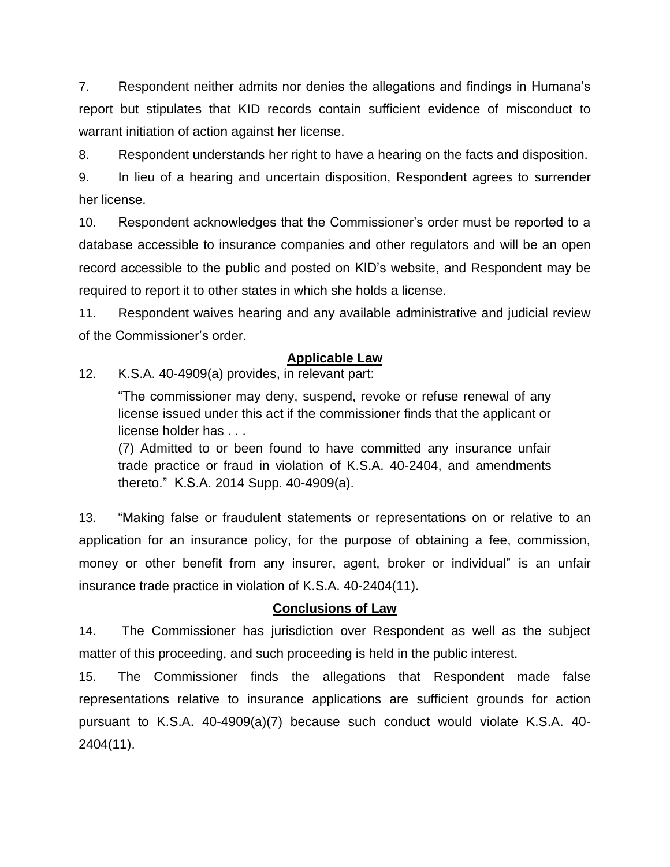7. Respondent neither admits nor denies the allegations and findings in Humana's report but stipulates that KID records contain sufficient evidence of misconduct to warrant initiation of action against her license.

8. Respondent understands her right to have a hearing on the facts and disposition.

9. In lieu of a hearing and uncertain disposition, Respondent agrees to surrender her license.

10. Respondent acknowledges that the Commissioner's order must be reported to a database accessible to insurance companies and other regulators and will be an open record accessible to the public and posted on KID's website, and Respondent may be required to report it to other states in which she holds a license.

11. Respondent waives hearing and any available administrative and judicial review of the Commissioner's order.

# **Applicable Law**

12. K.S.A. 40-4909(a) provides, in relevant part:

"The commissioner may deny, suspend, revoke or refuse renewal of any license issued under this act if the commissioner finds that the applicant or license holder has . . .

(7) Admitted to or been found to have committed any insurance unfair trade practice or fraud in violation of K.S.A. 40-2404, and amendments thereto." K.S.A. 2014 Supp. 40-4909(a).

13. "Making false or fraudulent statements or representations on or relative to an application for an insurance policy, for the purpose of obtaining a fee, commission, money or other benefit from any insurer, agent, broker or individual" is an unfair insurance trade practice in violation of K.S.A. 40-2404(11).

## **Conclusions of Law**

14. The Commissioner has jurisdiction over Respondent as well as the subject matter of this proceeding, and such proceeding is held in the public interest.

15. The Commissioner finds the allegations that Respondent made false representations relative to insurance applications are sufficient grounds for action pursuant to K.S.A. 40-4909(a)(7) because such conduct would violate K.S.A. 40- 2404(11).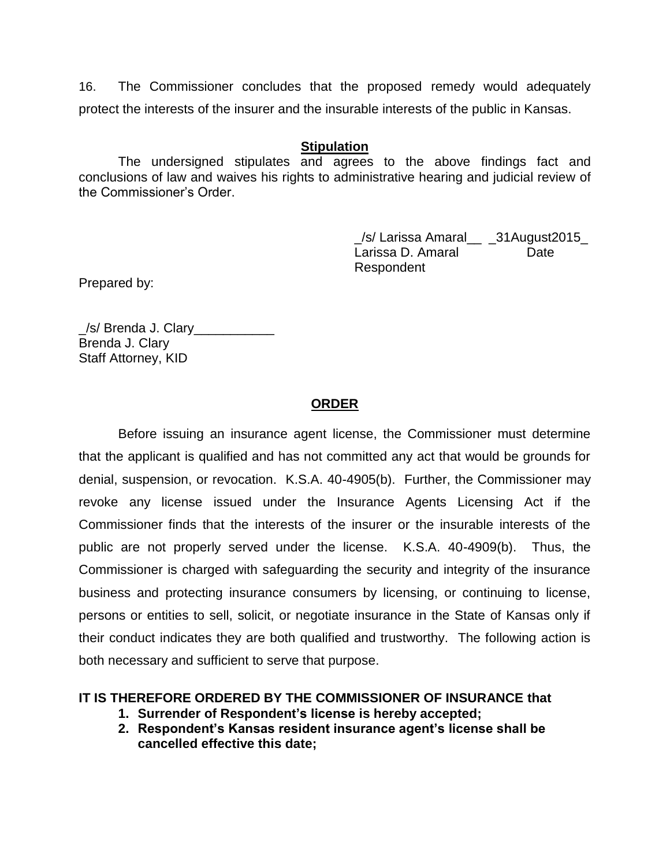16. The Commissioner concludes that the proposed remedy would adequately protect the interests of the insurer and the insurable interests of the public in Kansas.

#### **Stipulation**

The undersigned stipulates and agrees to the above findings fact and conclusions of law and waives his rights to administrative hearing and judicial review of the Commissioner's Order.

> \_/s/ Larissa Amaral\_\_ \_31August2015\_ Larissa D. Amaral **Date** Respondent

Prepared by:

/s/ Brenda J. Clary Brenda J. Clary Staff Attorney, KID

## **ORDER**

Before issuing an insurance agent license, the Commissioner must determine that the applicant is qualified and has not committed any act that would be grounds for denial, suspension, or revocation. K.S.A. 40-4905(b). Further, the Commissioner may revoke any license issued under the Insurance Agents Licensing Act if the Commissioner finds that the interests of the insurer or the insurable interests of the public are not properly served under the license. K.S.A. 40-4909(b). Thus, the Commissioner is charged with safeguarding the security and integrity of the insurance business and protecting insurance consumers by licensing, or continuing to license, persons or entities to sell, solicit, or negotiate insurance in the State of Kansas only if their conduct indicates they are both qualified and trustworthy. The following action is both necessary and sufficient to serve that purpose.

### **IT IS THEREFORE ORDERED BY THE COMMISSIONER OF INSURANCE that**

- **1. Surrender of Respondent's license is hereby accepted;**
- **2. Respondent's Kansas resident insurance agent's license shall be cancelled effective this date;**